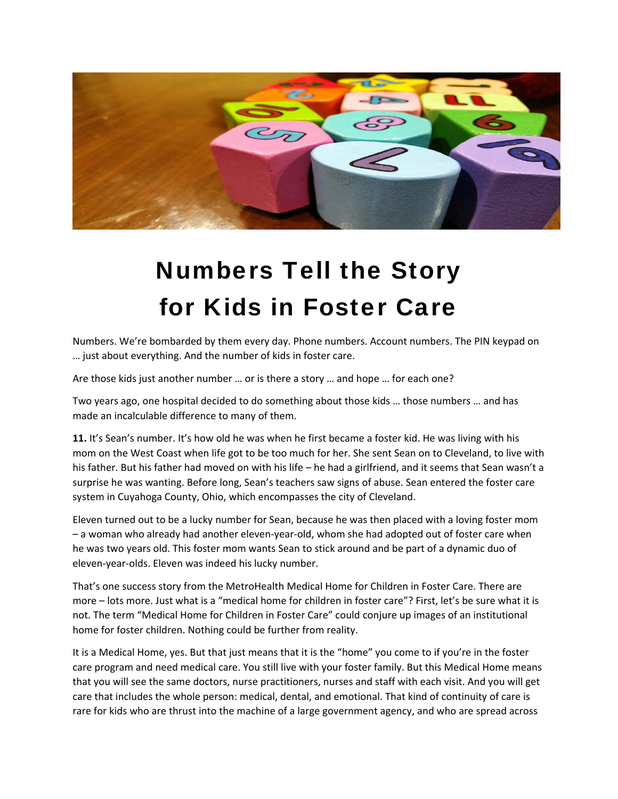

## Numbers Tell the Story for Kids in Foster Care

Numbers. We're bombarded by them every day. Phone numbers. Account numbers. The PIN keypad on … just about everything. And the number of kids in foster care.

Are those kids just another number … or is there a story … and hope … for each one?

Two years ago, one hospital decided to do something about those kids … those numbers … and has made an incalculable difference to many of them.

**11.** It's Sean's number. It's how old he was when he first became a foster kid. He was living with his mom on the West Coast when life got to be too much for her. She sent Sean on to Cleveland, to live with his father. But his father had moved on with his life – he had a girlfriend, and it seems that Sean wasn't a surprise he was wanting. Before long, Sean's teachers saw signs of abuse. Sean entered the foster care system in Cuyahoga County, Ohio, which encompasses the city of Cleveland.

Eleven turned out to be a lucky number for Sean, because he was then placed with a loving foster mom – a woman who already had another eleven‐year‐old, whom she had adopted out of foster care when he was two years old. This foster mom wants Sean to stick around and be part of a dynamic duo of eleven‐year‐olds. Eleven was indeed his lucky number.

That's one success story from the MetroHealth Medical Home for Children in Foster Care. There are more – lots more. Just what is a "medical home for children in foster care"? First, let's be sure what it is not. The term "Medical Home for Children in Foster Care" could conjure up images of an institutional home for foster children. Nothing could be further from reality.

It is a Medical Home, yes. But that just means that it is the "home" you come to if you're in the foster care program and need medical care. You still live with your foster family. But this Medical Home means that you will see the same doctors, nurse practitioners, nurses and staff with each visit. And you will get care that includes the whole person: medical, dental, and emotional. That kind of continuity of care is rare for kids who are thrust into the machine of a large government agency, and who are spread across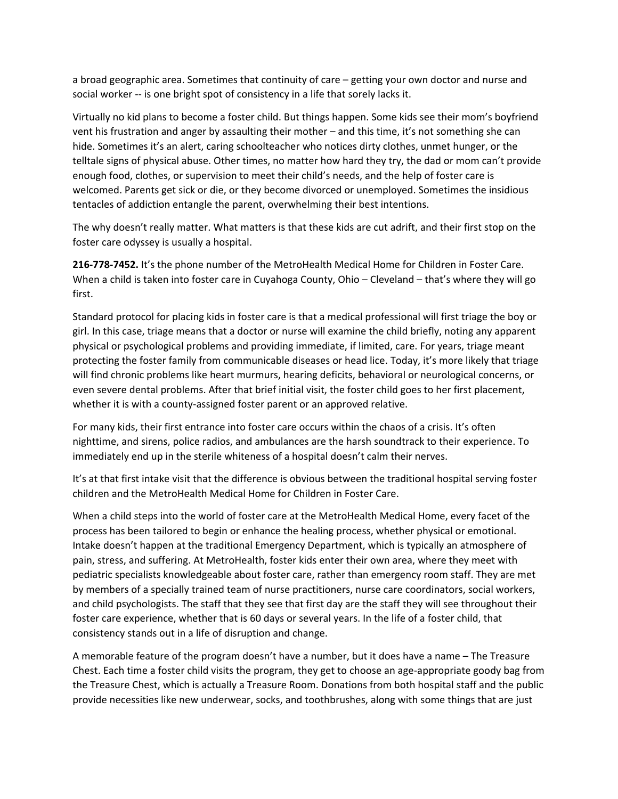a broad geographic area. Sometimes that continuity of care – getting your own doctor and nurse and social worker -- is one bright spot of consistency in a life that sorely lacks it.

Virtually no kid plans to become a foster child. But things happen. Some kids see their mom's boyfriend vent his frustration and anger by assaulting their mother – and this time, it's not something she can hide. Sometimes it's an alert, caring schoolteacher who notices dirty clothes, unmet hunger, or the telltale signs of physical abuse. Other times, no matter how hard they try, the dad or mom can't provide enough food, clothes, or supervision to meet their child's needs, and the help of foster care is welcomed. Parents get sick or die, or they become divorced or unemployed. Sometimes the insidious tentacles of addiction entangle the parent, overwhelming their best intentions.

The why doesn't really matter. What matters is that these kids are cut adrift, and their first stop on the foster care odyssey is usually a hospital.

**216‐778‐7452.** It's the phone number of the MetroHealth Medical Home for Children in Foster Care. When a child is taken into foster care in Cuyahoga County, Ohio – Cleveland – that's where they will go first.

Standard protocol for placing kids in foster care is that a medical professional will first triage the boy or girl. In this case, triage means that a doctor or nurse will examine the child briefly, noting any apparent physical or psychological problems and providing immediate, if limited, care. For years, triage meant protecting the foster family from communicable diseases or head lice. Today, it's more likely that triage will find chronic problems like heart murmurs, hearing deficits, behavioral or neurological concerns, or even severe dental problems. After that brief initial visit, the foster child goes to her first placement, whether it is with a county-assigned foster parent or an approved relative.

For many kids, their first entrance into foster care occurs within the chaos of a crisis. It's often nighttime, and sirens, police radios, and ambulances are the harsh soundtrack to their experience. To immediately end up in the sterile whiteness of a hospital doesn't calm their nerves.

It's at that first intake visit that the difference is obvious between the traditional hospital serving foster children and the MetroHealth Medical Home for Children in Foster Care.

When a child steps into the world of foster care at the MetroHealth Medical Home, every facet of the process has been tailored to begin or enhance the healing process, whether physical or emotional. Intake doesn't happen at the traditional Emergency Department, which is typically an atmosphere of pain, stress, and suffering. At MetroHealth, foster kids enter their own area, where they meet with pediatric specialists knowledgeable about foster care, rather than emergency room staff. They are met by members of a specially trained team of nurse practitioners, nurse care coordinators, social workers, and child psychologists. The staff that they see that first day are the staff they will see throughout their foster care experience, whether that is 60 days or several years. In the life of a foster child, that consistency stands out in a life of disruption and change.

A memorable feature of the program doesn't have a number, but it does have a name – The Treasure Chest. Each time a foster child visits the program, they get to choose an age‐appropriate goody bag from the Treasure Chest, which is actually a Treasure Room. Donations from both hospital staff and the public provide necessities like new underwear, socks, and toothbrushes, along with some things that are just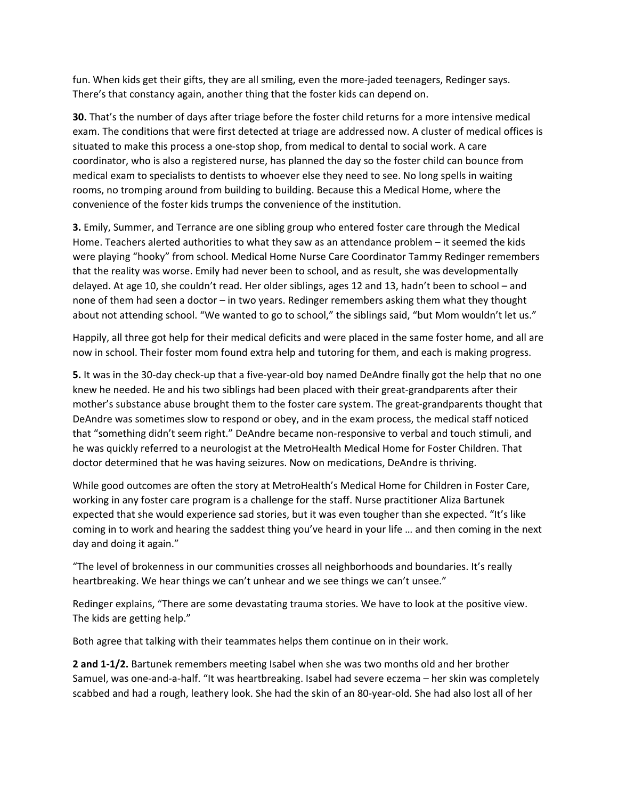fun. When kids get their gifts, they are all smiling, even the more-jaded teenagers, Redinger says. There's that constancy again, another thing that the foster kids can depend on.

**30.** That's the number of days after triage before the foster child returns for a more intensive medical exam. The conditions that were first detected at triage are addressed now. A cluster of medical offices is situated to make this process a one‐stop shop, from medical to dental to social work. A care coordinator, who is also a registered nurse, has planned the day so the foster child can bounce from medical exam to specialists to dentists to whoever else they need to see. No long spells in waiting rooms, no tromping around from building to building. Because this a Medical Home, where the convenience of the foster kids trumps the convenience of the institution.

**3.** Emily, Summer, and Terrance are one sibling group who entered foster care through the Medical Home. Teachers alerted authorities to what they saw as an attendance problem – it seemed the kids were playing "hooky" from school. Medical Home Nurse Care Coordinator Tammy Redinger remembers that the reality was worse. Emily had never been to school, and as result, she was developmentally delayed. At age 10, she couldn't read. Her older siblings, ages 12 and 13, hadn't been to school – and none of them had seen a doctor – in two years. Redinger remembers asking them what they thought about not attending school. "We wanted to go to school," the siblings said, "but Mom wouldn't let us."

Happily, all three got help for their medical deficits and were placed in the same foster home, and all are now in school. Their foster mom found extra help and tutoring for them, and each is making progress.

**5.** It was in the 30‐day check‐up that a five‐year‐old boy named DeAndre finally got the help that no one knew he needed. He and his two siblings had been placed with their great-grandparents after their mother's substance abuse brought them to the foster care system. The great-grandparents thought that DeAndre was sometimes slow to respond or obey, and in the exam process, the medical staff noticed that "something didn't seem right." DeAndre became non‐responsive to verbal and touch stimuli, and he was quickly referred to a neurologist at the MetroHealth Medical Home for Foster Children. That doctor determined that he was having seizures. Now on medications, DeAndre is thriving.

While good outcomes are often the story at MetroHealth's Medical Home for Children in Foster Care, working in any foster care program is a challenge for the staff. Nurse practitioner Aliza Bartunek expected that she would experience sad stories, but it was even tougher than she expected. "It's like coming in to work and hearing the saddest thing you've heard in your life … and then coming in the next day and doing it again."

"The level of brokenness in our communities crosses all neighborhoods and boundaries. It's really heartbreaking. We hear things we can't unhear and we see things we can't unsee."

Redinger explains, "There are some devastating trauma stories. We have to look at the positive view. The kids are getting help."

Both agree that talking with their teammates helps them continue on in their work.

**2 and 1‐1/2.** Bartunek remembers meeting Isabel when she was two months old and her brother Samuel, was one‐and‐a‐half. "It was heartbreaking. Isabel had severe eczema – her skin was completely scabbed and had a rough, leathery look. She had the skin of an 80‐year‐old. She had also lost all of her